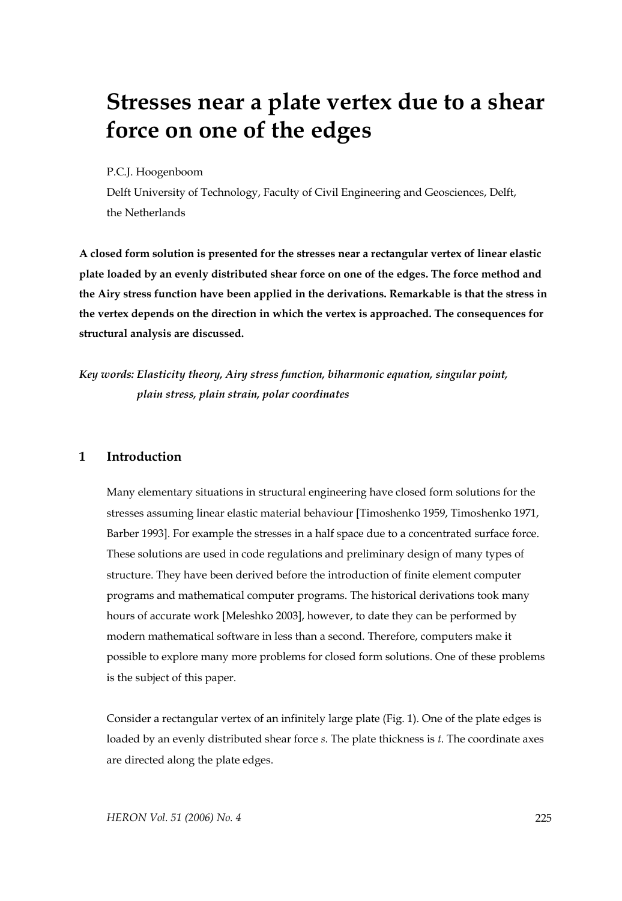# **Stresses near a plate vertex due to a shear force on one of the edges**

#### P.C.J. Hoogenboom

Delft University of Technology, Faculty of Civil Engineering and Geosciences, Delft, the Netherlands

**A closed form solution is presented for the stresses near a rectangular vertex of linear elastic plate loaded by an evenly distributed shear force on one of the edges. The force method and the Airy stress function have been applied in the derivations. Remarkable is that the stress in the vertex depends on the direction in which the vertex is approached. The consequences for structural analysis are discussed.** 

*Key words: Elasticity theory, Airy stress function, biharmonic equation, singular point, plain stress, plain strain, polar coordinates* 

#### **1 Introduction**

Many elementary situations in structural engineering have closed form solutions for the stresses assuming linear elastic material behaviour [Timoshenko 1959, Timoshenko 1971, Barber 1993]. For example the stresses in a half space due to a concentrated surface force. These solutions are used in code regulations and preliminary design of many types of structure. They have been derived before the introduction of finite element computer programs and mathematical computer programs. The historical derivations took many hours of accurate work [Meleshko 2003], however, to date they can be performed by modern mathematical software in less than a second. Therefore, computers make it possible to explore many more problems for closed form solutions. One of these problems is the subject of this paper.

Consider a rectangular vertex of an infinitely large plate (Fig. 1). One of the plate edges is loaded by an evenly distributed shear force *s*. The plate thickness is *t*. The coordinate axes are directed along the plate edges.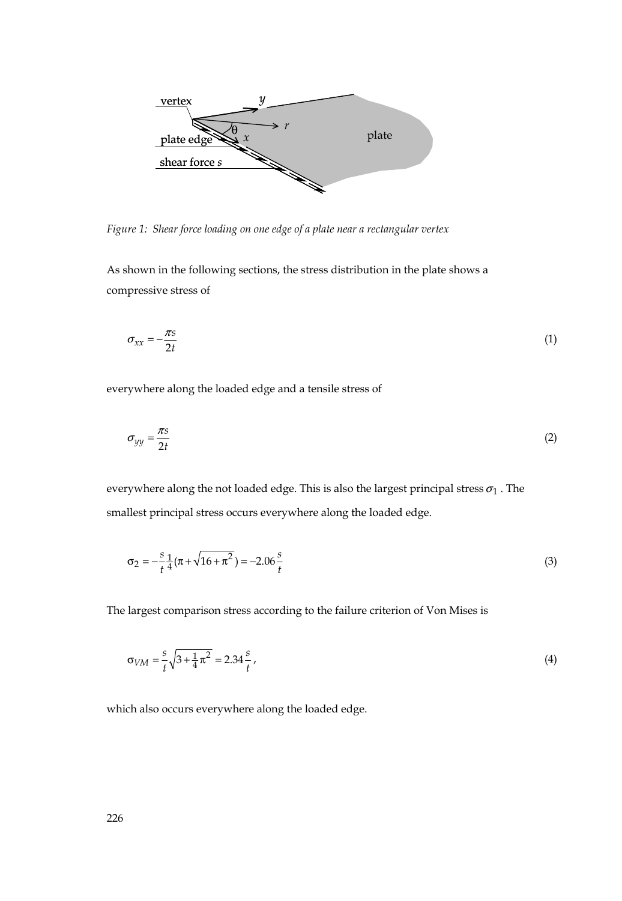

*Figure 1: Shear force loading on one edge of a plate near a rectangular vertex* 

As shown in the following sections, the stress distribution in the plate shows a compressive stress of

$$
\sigma_{xx} = -\frac{\pi s}{2t} \tag{1}
$$

everywhere along the loaded edge and a tensile stress of

$$
\sigma_{yy} = \frac{\pi s}{2t} \tag{2}
$$

everywhere along the not loaded edge. This is also the largest principal stress  $\sigma_1$  . The smallest principal stress occurs everywhere along the loaded edge.

$$
\sigma_2 = -\frac{s}{t} \frac{1}{4} (\pi + \sqrt{16 + \pi^2}) = -2.06 \frac{s}{t}
$$
 (3)

The largest comparison stress according to the failure criterion of Von Mises is

$$
\sigma_{VM} = \frac{s}{t} \sqrt{3 + \frac{1}{4} \pi^2} = 2.34 \frac{s}{t},\tag{4}
$$

which also occurs everywhere along the loaded edge.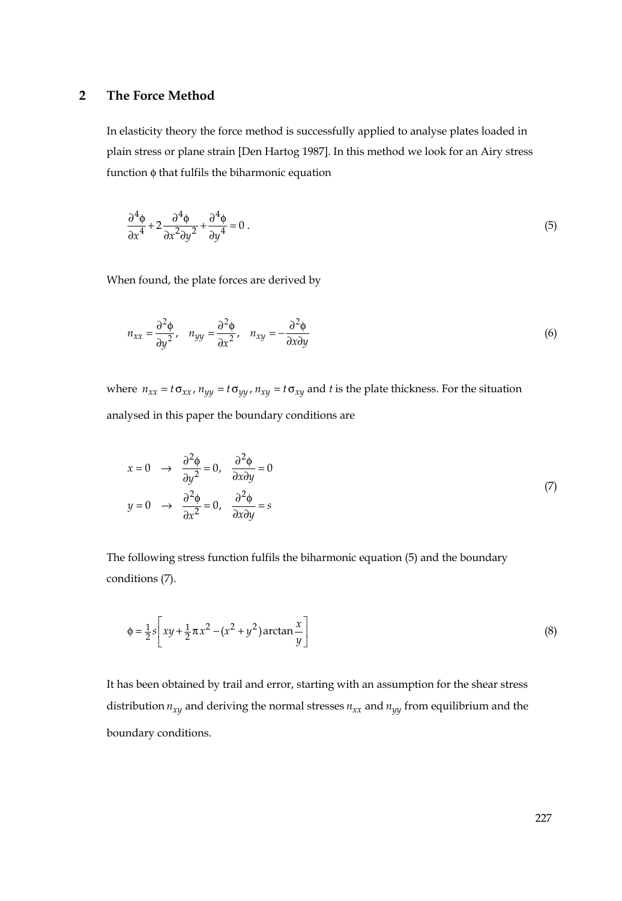## **2 The Force Method**

In elasticity theory the force method is successfully applied to analyse plates loaded in plain stress or plane strain [Den Hartog 1987]. In this method we look for an Airy stress function φ that fulfils the biharmonic equation

$$
\frac{\partial^4 \phi}{\partial x^4} + 2 \frac{\partial^4 \phi}{\partial x^2 \partial y^2} + \frac{\partial^4 \phi}{\partial y^4} = 0 \tag{5}
$$

When found, the plate forces are derived by

$$
n_{xx} = \frac{\partial^2 \phi}{\partial y^2}, \quad n_{yy} = \frac{\partial^2 \phi}{\partial x^2}, \quad n_{xy} = -\frac{\partial^2 \phi}{\partial x \partial y}
$$
(6)

where  $n_{xx} = t \sigma_{xx}$ ,  $n_{yy} = t \sigma_{yy}$ ,  $n_{xy} = t \sigma_{xy}$  and *t* is the plate thickness. For the situation analysed in this paper the boundary conditions are

$$
x = 0 \rightarrow \frac{\partial^2 \phi}{\partial y^2} = 0, \frac{\partial^2 \phi}{\partial x \partial y} = 0
$$
  
(7)  

$$
y = 0 \rightarrow \frac{\partial^2 \phi}{\partial x^2} = 0, \frac{\partial^2 \phi}{\partial x \partial y} = s
$$

The following stress function fulfils the biharmonic equation (5) and the boundary conditions (7).

$$
\phi = \frac{1}{2}s \left[ xy + \frac{1}{2}\pi x^2 - (x^2 + y^2)\arctan \frac{x}{y} \right]
$$
 (8)

It has been obtained by trail and error, starting with an assumption for the shear stress distribution  $n_{xy}$  and deriving the normal stresses  $n_{xx}$  and  $n_{yy}$  from equilibrium and the boundary conditions.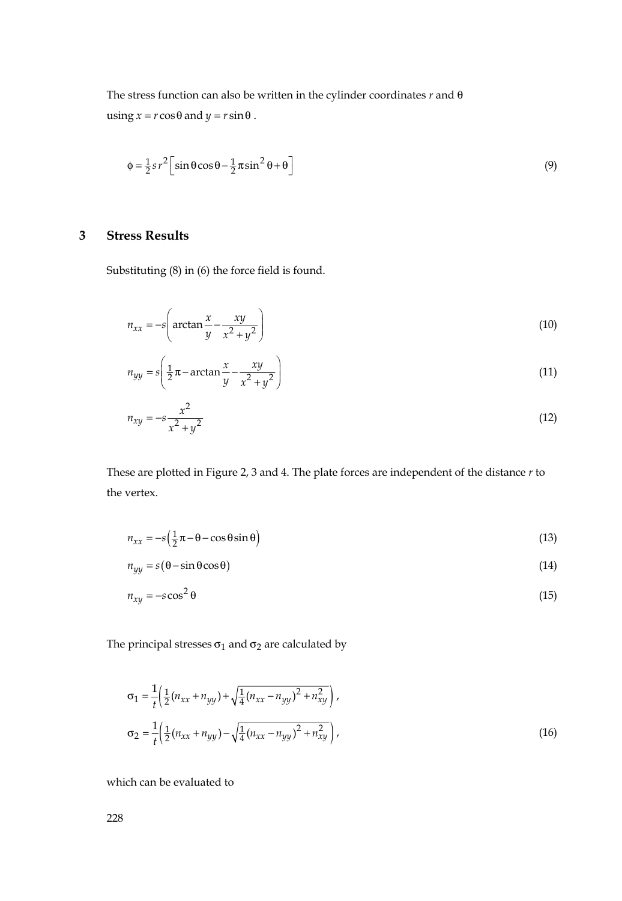The stress function can also be written in the cylinder coordinates *r* and θ  $using x = r \cos \theta$  and  $y = r \sin \theta$ .

$$
\phi = \frac{1}{2} s r^2 \left[ \sin \theta \cos \theta - \frac{1}{2} \pi \sin^2 \theta + \theta \right]
$$
\n(9)

## **3 Stress Results**

Substituting (8) in (6) the force field is found.

$$
n_{xx} = -s \left( \arctan \frac{x}{y} - \frac{xy}{x^2 + y^2} \right)
$$
 (10)

$$
n_{yy} = s \left( \frac{1}{2} \pi - \arctan \frac{x}{y} - \frac{xy}{x^2 + y^2} \right)
$$
 (11)

$$
n_{xy} = -s \frac{x^2}{x^2 + y^2}
$$
 (12)

These are plotted in Figure 2, 3 and 4. The plate forces are independent of the distance *r* to the vertex.

$$
n_{xx} = -s\left(\frac{1}{2}\pi - \theta - \cos\theta\sin\theta\right) \tag{13}
$$

 $n_{yy} = s(\theta - \sin \theta \cos \theta)$  (14)

$$
n_{xy} = -s \cos^2 \theta \tag{15}
$$

The principal stresses  $\sigma_1$  and  $\sigma_2$  are calculated by

$$
\sigma_1 = \frac{1}{t} \left( \frac{1}{2} (n_{xx} + n_{yy}) + \sqrt{\frac{1}{4} (n_{xx} - n_{yy})^2 + n_{xy}^2} \right),
$$
  
\n
$$
\sigma_2 = \frac{1}{t} \left( \frac{1}{2} (n_{xx} + n_{yy}) - \sqrt{\frac{1}{4} (n_{xx} - n_{yy})^2 + n_{xy}^2} \right),
$$
\n(16)

which can be evaluated to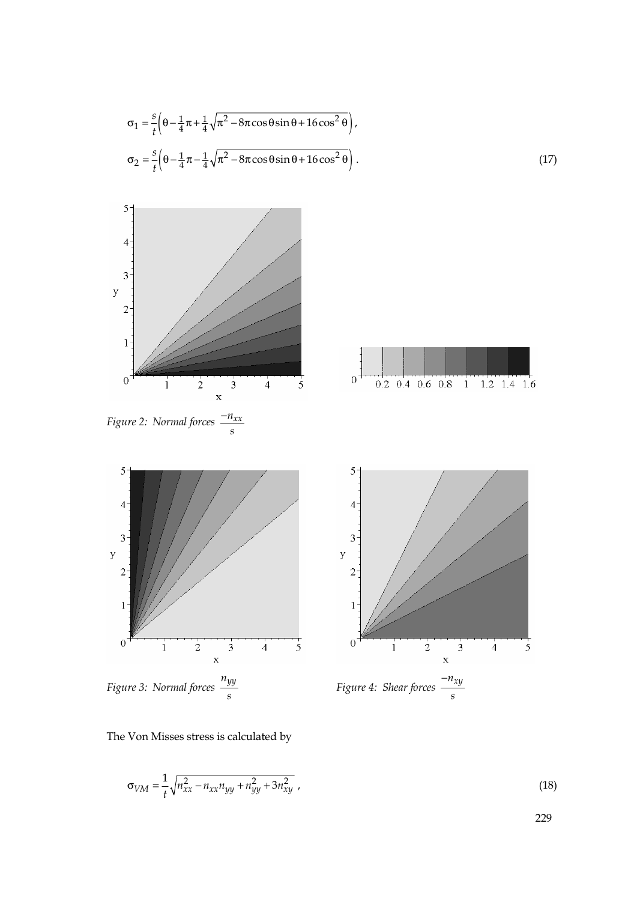$$
\sigma_1 = \frac{s}{t} \left( \theta - \frac{1}{4} \pi + \frac{1}{4} \sqrt{\pi^2 - 8\pi \cos\theta \sin\theta + 16\cos^2\theta} \right),
$$
  
\n
$$
\sigma_2 = \frac{s}{t} \left( \theta - \frac{1}{4} \pi - \frac{1}{4} \sqrt{\pi^2 - 8\pi \cos\theta \sin\theta + 16\cos^2\theta} \right).
$$
\n(17)



*Figure 3: Normal forces*  $\frac{n_{yy}}{s}$ 



The Von Misses stress is calculated by

$$
\sigma_{VM} = \frac{1}{t} \sqrt{n_{xx}^2 - n_{xx} n_{yy} + n_{yy}^2 + 3n_{xy}^2} \,, \tag{18}
$$

 $\overline{5}$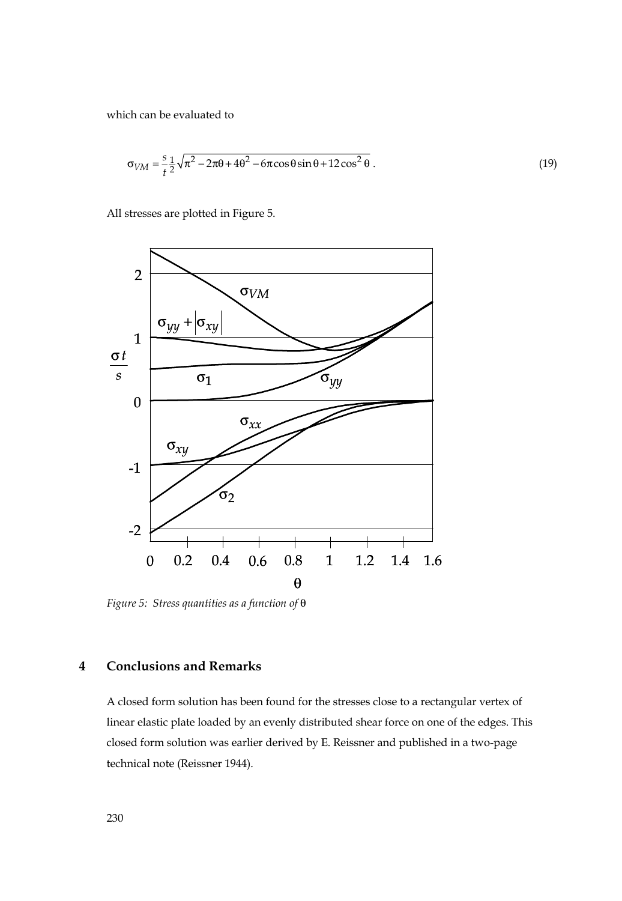which can be evaluated to

$$
\sigma_{VM} = \frac{s}{t} \frac{1}{2} \sqrt{\pi^2 - 2\pi\theta + 4\theta^2 - 6\pi\cos\theta\sin\theta + 12\cos^2\theta}.
$$
 (19)

All stresses are plotted in Figure 5.



*Figure 5: Stress quantities as a function of* θ

# **4 Conclusions and Remarks**

A closed form solution has been found for the stresses close to a rectangular vertex of linear elastic plate loaded by an evenly distributed shear force on one of the edges. This closed form solution was earlier derived by E. Reissner and published in a two-page technical note (Reissner 1944).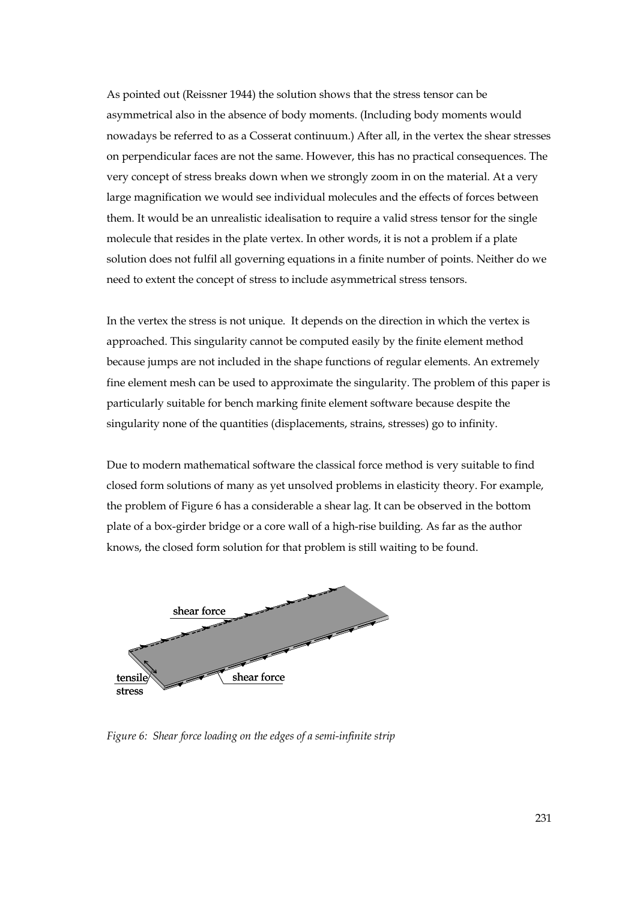As pointed out (Reissner 1944) the solution shows that the stress tensor can be asymmetrical also in the absence of body moments. (Including body moments would nowadays be referred to as a Cosserat continuum.) After all, in the vertex the shear stresses on perpendicular faces are not the same. However, this has no practical consequences. The very concept of stress breaks down when we strongly zoom in on the material. At a very large magnification we would see individual molecules and the effects of forces between them. It would be an unrealistic idealisation to require a valid stress tensor for the single molecule that resides in the plate vertex. In other words, it is not a problem if a plate solution does not fulfil all governing equations in a finite number of points. Neither do we need to extent the concept of stress to include asymmetrical stress tensors.

In the vertex the stress is not unique. It depends on the direction in which the vertex is approached. This singularity cannot be computed easily by the finite element method because jumps are not included in the shape functions of regular elements. An extremely fine element mesh can be used to approximate the singularity. The problem of this paper is particularly suitable for bench marking finite element software because despite the singularity none of the quantities (displacements, strains, stresses) go to infinity.

Due to modern mathematical software the classical force method is very suitable to find closed form solutions of many as yet unsolved problems in elasticity theory. For example, the problem of Figure 6 has a considerable a shear lag. It can be observed in the bottom plate of a box-girder bridge or a core wall of a high-rise building. As far as the author knows, the closed form solution for that problem is still waiting to be found.



*Figure 6: Shear force loading on the edges of a semi-infinite strip*